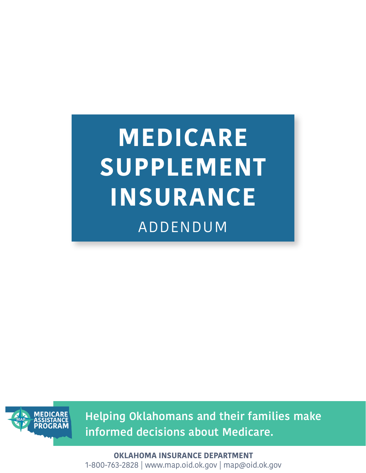ADDENDUM **MEDICARE SUPPLEMENT INSURANCE**



**Helping Oklahomans and their families make informed decisions about Medicare.**

**OKLAHOMA INSURANCE DEPARTMENT** 1-800-763-2828 | www.map.oid.ok.gov | map@oid.ok.gov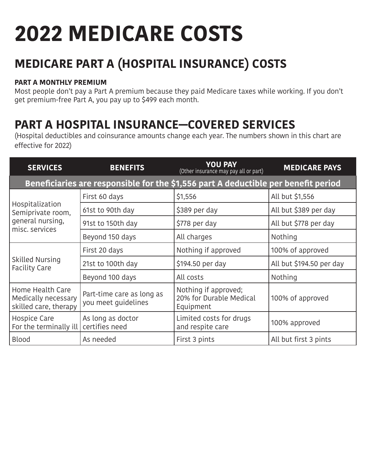# **2022 MEDICARE COSTS**

## **MEDICARE PART A (HOSPITAL INSURANCE) COSTS**

#### **PART A MONTHLY PREMIUM**

Most people don't pay a Part A premium because they paid Medicare taxes while working. If you don't get premium-free Part A, you pay up to \$499 each month.

## **PART A HOSPITAL INSURANCE—COVERED SERVICES**

(Hospital deductibles and coinsurance amounts change each year. The numbers shown in this chart are effective for 2022)

| <b>SERVICES</b>                                                                    | <b>BENEFITS</b>                                  | <b>YOU PAY</b><br>(Other insurance may pay all or part)      | <b>MEDICARE PAYS</b>     |  |  |  |  |  |
|------------------------------------------------------------------------------------|--------------------------------------------------|--------------------------------------------------------------|--------------------------|--|--|--|--|--|
| Beneficiaries are responsible for the \$1,556 part A deductible per benefit period |                                                  |                                                              |                          |  |  |  |  |  |
| Hospitalization<br>Semiprivate room,<br>general nursing,<br>misc. services         | First 60 days                                    | \$1,556                                                      | All but \$1,556          |  |  |  |  |  |
|                                                                                    | 61st to 90th day                                 | \$389 per day                                                | All but \$389 per day    |  |  |  |  |  |
|                                                                                    | 91st to 150th day                                | \$778 per day                                                | All but \$778 per day    |  |  |  |  |  |
|                                                                                    | Beyond 150 days                                  | All charges                                                  | Nothing                  |  |  |  |  |  |
| Skilled Nursing<br><b>Facility Care</b>                                            | First 20 days                                    | Nothing if approved                                          | 100% of approved         |  |  |  |  |  |
|                                                                                    | 21st to 100th day                                | \$194.50 per day                                             | All but \$194.50 per day |  |  |  |  |  |
|                                                                                    | Beyond 100 days                                  | All costs                                                    | Nothing                  |  |  |  |  |  |
| Home Health Care<br>Medically necessary<br>skilled care, therapy                   | Part-time care as long as<br>you meet guidelines | Nothing if approved;<br>20% for Durable Medical<br>Equipment | 100% of approved         |  |  |  |  |  |
| Hospice Care<br>For the terminally ill                                             | As long as doctor<br>certifies need              | Limited costs for drugs<br>and respite care                  | 100% approved            |  |  |  |  |  |
| <b>Blood</b>                                                                       | As needed                                        | First 3 pints                                                | All but first 3 pints    |  |  |  |  |  |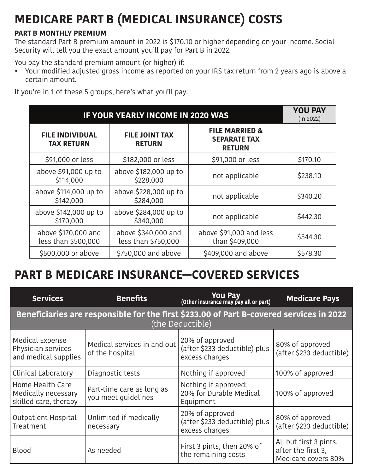# **MEDICARE PART B (MEDICAL INSURANCE) COSTS**

#### **PART B MONTHLY PREMIUM**

The standard Part B premium amount in 2022 is \$170.10 or higher depending on your income. Social Security will tell you the exact amount you'll pay for Part B in 2022.

You pay the standard premium amount (or higher) if:

• Your modified adjusted gross income as reported on your IRS tax return from 2 years ago is above a certain amount.

If you're in 1 of these 5 groups, here's what you'll pay:

| <b>IF YOUR YEARLY INCOME IN 2020 WAS</b>    | <b>YOU PAY</b><br>(in 2022)                |                                                                   |          |
|---------------------------------------------|--------------------------------------------|-------------------------------------------------------------------|----------|
| <b>FILE INDIVIDUAL</b><br><b>TAX RETURN</b> | <b>FILE JOINT TAX</b><br><b>RETURN</b>     | <b>FILE MARRIED &amp;</b><br><b>SEPARATE TAX</b><br><b>RETURN</b> |          |
| \$91,000 or less                            | \$182,000 or less                          | \$91,000 or less                                                  | \$170.10 |
| above \$91,000 up to<br>\$114,000           | above \$182,000 up to<br>\$228,000         | not applicable                                                    | \$238.10 |
| above \$114,000 up to<br>\$142,000          | above \$228,000 up to<br>\$284,000         | not applicable                                                    | \$340.20 |
| above \$142,000 up to<br>\$170,000          | above \$284,000 up to<br>\$340,000         | not applicable                                                    | \$442.30 |
| above \$170,000 and<br>less than \$500,000  | above \$340,000 and<br>less than \$750,000 | above \$91,000 and less<br>than \$409,000                         | \$544.30 |
| \$500,000 or above                          | \$750,000 and above                        | \$409,000 and above                                               | \$578.30 |

### **PART B MEDICARE INSURANCE—COVERED SERVICES**

| <b>Services</b>                                                                                             | <b>Benefits</b>                                  | You Pay<br>(Other insurance may pay all or part)                   | <b>Medicare Pays</b>                                                |  |  |  |  |  |
|-------------------------------------------------------------------------------------------------------------|--------------------------------------------------|--------------------------------------------------------------------|---------------------------------------------------------------------|--|--|--|--|--|
| Beneficiaries are responsible for the first \$233.00 of Part B-covered services in 2022<br>(the Deductible) |                                                  |                                                                    |                                                                     |  |  |  |  |  |
| Medical Expense<br>Physician services<br>and medical supplies                                               | Medical services in and out<br>of the hospital   | 20% of approved<br>(after \$233 deductible) plus<br>excess charges | 80% of approved<br>(after \$233 deductible)                         |  |  |  |  |  |
| Clinical Laboratory                                                                                         | Diagnostic tests                                 | Nothing if approved                                                | 100% of approved                                                    |  |  |  |  |  |
| Home Health Care<br>Medically necessary<br>skilled care, therapy                                            | Part-time care as long as<br>you meet quidelines | Nothing if approved;<br>20% for Durable Medical<br>Equipment       | 100% of approved                                                    |  |  |  |  |  |
| <b>Outpatient Hospital</b><br>Treatment                                                                     | Unlimited if medically<br>necessary              | 20% of approved<br>(after \$233 deductible) plus<br>excess charges | 80% of approved<br>(after \$233 deductible)                         |  |  |  |  |  |
| <b>Blood</b>                                                                                                | As needed                                        | First 3 pints, then 20% of<br>the remaining costs                  | All but first 3 pints,<br>after the first 3,<br>Medicare covers 80% |  |  |  |  |  |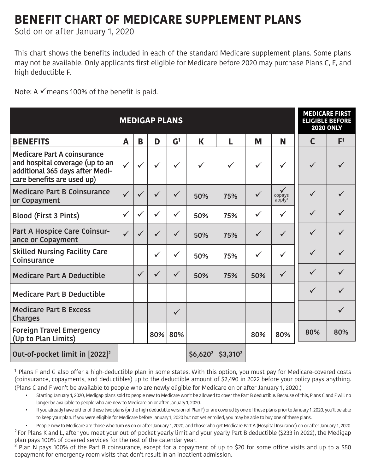### **BENEFIT CHART OF MEDICARE SUPPLEMENT PLANS**

Sold on or after January 1, 2020

This chart shows the benefits included in each of the standard Medicare supplement plans. Some plans may not be available. Only applicants first eligible for Medicare before 2020 may purchase Plans C, F, and high deductible F.

Note: A  $\checkmark$  means 100% of the benefit is paid.

| <b>MEDIGAP PLANS</b>                                                                                                                   |              |              |              |                |              |              | <b>MEDICARE FIRST</b><br><b>ELIGIBLE BEFORE</b><br><b>2020 ONLY</b> |                                                 |              |                |
|----------------------------------------------------------------------------------------------------------------------------------------|--------------|--------------|--------------|----------------|--------------|--------------|---------------------------------------------------------------------|-------------------------------------------------|--------------|----------------|
| <b>BENEFITS</b>                                                                                                                        | A            | B            | D            | $\mathsf{G}^1$ | K            | L            | M                                                                   | N                                               | $\mathsf{C}$ | F <sup>1</sup> |
| <b>Medicare Part A coinsurance</b><br>and hospital coverage (up to an<br>additional 365 days after Medi-<br>care benefits are used up) | $\checkmark$ | $\checkmark$ | $\checkmark$ | $\checkmark$   | $\checkmark$ | $\checkmark$ | $\checkmark$                                                        | $\checkmark$                                    | $\checkmark$ | $\checkmark$   |
| <b>Medicare Part B Coinsurance</b><br>or Copayment                                                                                     | $\checkmark$ | $\checkmark$ | $\checkmark$ | $\checkmark$   | 50%          | 75%          | $\checkmark$                                                        | $\checkmark$<br>copays<br>$a$ pply <sup>3</sup> | $\checkmark$ | $\checkmark$   |
| <b>Blood (First 3 Pints)</b>                                                                                                           | $\checkmark$ | $\checkmark$ | $\checkmark$ | $\checkmark$   | 50%          | 75%          | $\checkmark$                                                        | $\checkmark$                                    | $\checkmark$ | $\checkmark$   |
| Part A Hospice Care Coinsur-<br>ance or Copayment                                                                                      |              | $\checkmark$ | $\checkmark$ | $\checkmark$   | 50%          | 75%          | $\checkmark$                                                        | $\checkmark$                                    | $\checkmark$ | $\checkmark$   |
| <b>Skilled Nursing Facility Care</b><br>Coinsurance                                                                                    |              |              | $\checkmark$ | $\checkmark$   | 50%          | 75%          | $\checkmark$                                                        | $\checkmark$                                    | $\checkmark$ | $\checkmark$   |
| <b>Medicare Part A Deductible</b>                                                                                                      |              | $\checkmark$ | $\checkmark$ | $\checkmark$   | 50%          | 75%          | 50%                                                                 | $\checkmark$                                    | $\checkmark$ | $\checkmark$   |
| <b>Medicare Part B Deductible</b>                                                                                                      |              |              |              |                |              |              |                                                                     |                                                 | $\checkmark$ | ✓              |
| <b>Medicare Part B Excess</b><br><b>Charges</b>                                                                                        |              |              |              | $\checkmark$   |              |              |                                                                     |                                                 |              | $\checkmark$   |
| <b>Foreign Travel Emergency</b><br>(Up to Plan Limits)                                                                                 |              |              | 80%          | 80%            |              |              | 80%                                                                 | 80%                                             | 80%          | 80%            |
| Out-of-pocket limit in [2022] <sup>2</sup>                                                                                             |              |              |              |                | $$6,620^2$   | $$3,310^2$   |                                                                     |                                                 |              |                |

 $1$  Plans F and G also offer a high-deductible plan in some states. With this option, you must pay for Medicare-covered costs (coinsurance, copayments, and deductibles) up to the deductible amount of \$2,490 in 2022 before your policy pays anything. (Plans C and F won't be available to people who are newly eligible for Medicare on or after January 1, 2020.)

- Starting January 1, 2020, Medigap plans sold to people new to Medicare won't be allowed to cover the Part B deductible. Because of this, Plans C and F will no longer be available to people who are new to Medicare on or after January 1, 2020.
- If you already have either of these two plans (or the high deductible version of Plan F) or are covered by one of these plans prior to January 1, 2020, you'll be able to keep your plan. If you were eligible for Medicare before January 1, 2020 but not yet enrolled, you may be able to buy one of these plans.

• People new to Medicare are those who turn 65 on or after January 1, 2020, and those who get Medicare Part A (Hospital Insurance) on or after January 1, 2020  $2$  For Plans K and L, after you meet your out-of-pocket yearly limit and your yearly Part B deductible (\$233 in 2022), the Medigap plan pays 100% of covered services for the rest of the calendar year.

<sup>3</sup> Plan N pays 100% of the Part B coinsurance, except for a copayment of up to \$20 for some office visits and up to a \$50 copayment for emergency room visits that don't result in an inpatient admission.